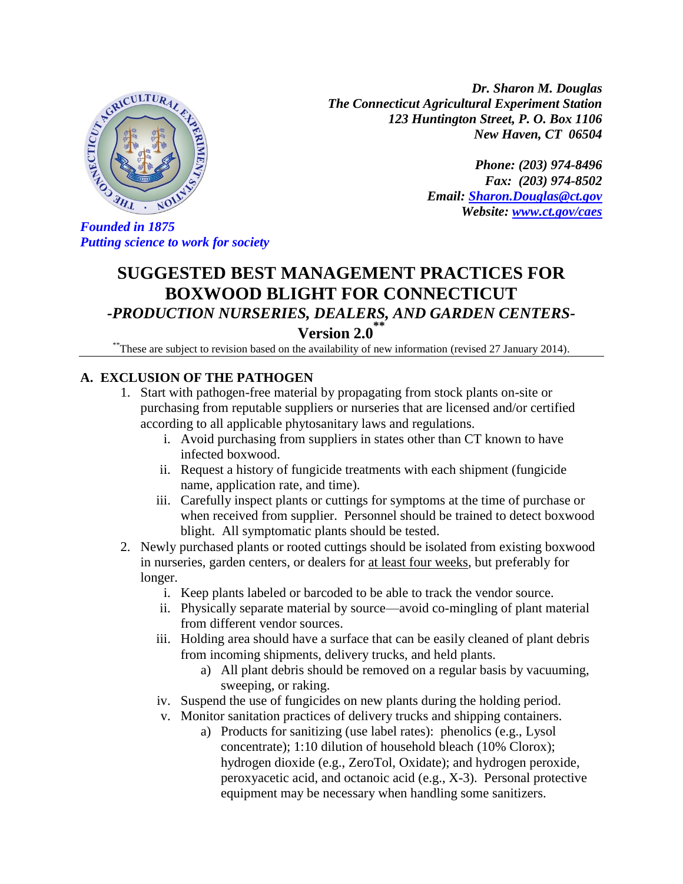

*Dr. Sharon M. Douglas The Connecticut Agricultural Experiment Station 123 Huntington Street, P. O. Box 1106 New Haven, CT 06504*

> *Phone: (203) 974-8496 Fax: (203) 974-8502 Email: [Sharon.Douglas@ct.gov](mailto:Sharon.Douglas@ct.gov) Website: [www.ct.gov/caes](http://www.ct.gov/caes)*

*Putting science to work for society*

# **SUGGESTED BEST MANAGEMENT PRACTICES FOR BOXWOOD BLIGHT FOR CONNECTICUT** *-PRODUCTION NURSERIES, DEALERS, AND GARDEN CENTERS-*

# **Version 2.0 \*\***

\*\*These are subject to revision based on the availability of new information (revised 27 January 2014).

## **A. EXCLUSION OF THE PATHOGEN**

- 1. Start with pathogen-free material by propagating from stock plants on-site or purchasing from reputable suppliers or nurseries that are licensed and/or certified according to all applicable phytosanitary laws and regulations.
	- i. Avoid purchasing from suppliers in states other than CT known to have infected boxwood.
	- ii. Request a history of fungicide treatments with each shipment (fungicide name, application rate, and time).
	- iii. Carefully inspect plants or cuttings for symptoms at the time of purchase or when received from supplier. Personnel should be trained to detect boxwood blight. All symptomatic plants should be tested.
- 2. Newly purchased plants or rooted cuttings should be isolated from existing boxwood in nurseries, garden centers, or dealers for at least four weeks, but preferably for longer.
	- i. Keep plants labeled or barcoded to be able to track the vendor source.
	- ii. Physically separate material by source—avoid co-mingling of plant material from different vendor sources.
	- iii. Holding area should have a surface that can be easily cleaned of plant debris from incoming shipments, delivery trucks, and held plants.
		- a) All plant debris should be removed on a regular basis by vacuuming, sweeping, or raking.
	- iv. Suspend the use of fungicides on new plants during the holding period.
	- v. Monitor sanitation practices of delivery trucks and shipping containers.
		- a) Products for sanitizing (use label rates): phenolics (e.g., Lysol concentrate); 1:10 dilution of household bleach (10% Clorox); hydrogen dioxide (e.g., ZeroTol, Oxidate); and hydrogen peroxide, peroxyacetic acid, and octanoic acid (e.g., X-3). Personal protective equipment may be necessary when handling some sanitizers.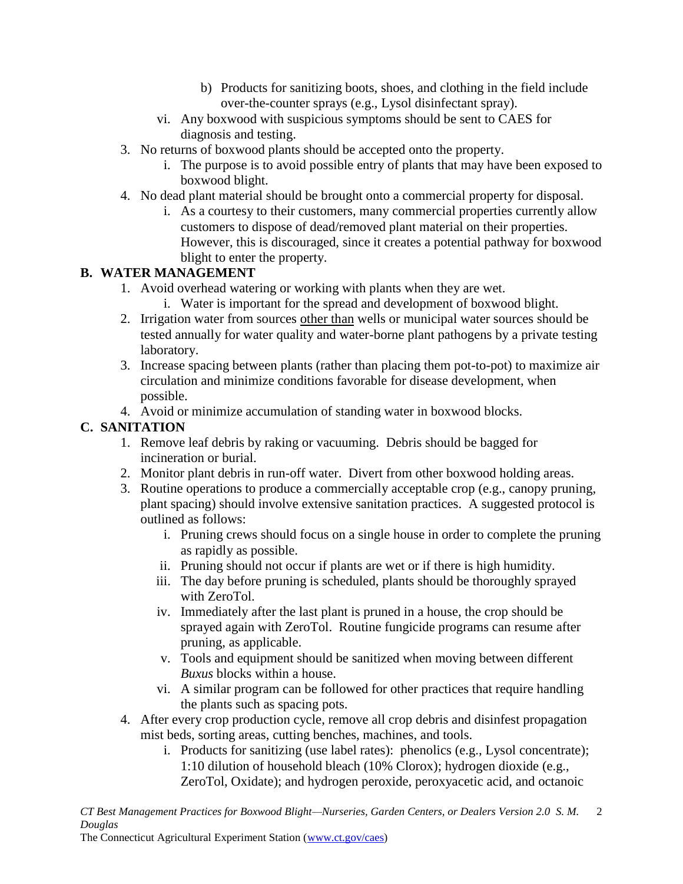- b) Products for sanitizing boots, shoes, and clothing in the field include over-the-counter sprays (e.g., Lysol disinfectant spray).
- vi. Any boxwood with suspicious symptoms should be sent to CAES for diagnosis and testing.
- 3. No returns of boxwood plants should be accepted onto the property.
	- i. The purpose is to avoid possible entry of plants that may have been exposed to boxwood blight.
- 4. No dead plant material should be brought onto a commercial property for disposal.
	- i. As a courtesy to their customers, many commercial properties currently allow customers to dispose of dead/removed plant material on their properties. However, this is discouraged, since it creates a potential pathway for boxwood blight to enter the property.

#### **B. WATER MANAGEMENT**

- 1. Avoid overhead watering or working with plants when they are wet.
	- i. Water is important for the spread and development of boxwood blight.
- 2. Irrigation water from sources other than wells or municipal water sources should be tested annually for water quality and water-borne plant pathogens by a private testing laboratory.
- 3. Increase spacing between plants (rather than placing them pot-to-pot) to maximize air circulation and minimize conditions favorable for disease development, when possible.
- 4. Avoid or minimize accumulation of standing water in boxwood blocks.

#### **C. SANITATION**

- 1. Remove leaf debris by raking or vacuuming. Debris should be bagged for incineration or burial.
- 2. Monitor plant debris in run-off water. Divert from other boxwood holding areas.
- 3. Routine operations to produce a commercially acceptable crop (e.g., canopy pruning, plant spacing) should involve extensive sanitation practices. A suggested protocol is outlined as follows:
	- i. Pruning crews should focus on a single house in order to complete the pruning as rapidly as possible.
	- ii. Pruning should not occur if plants are wet or if there is high humidity.
	- iii. The day before pruning is scheduled, plants should be thoroughly sprayed with ZeroTol.
	- iv. Immediately after the last plant is pruned in a house, the crop should be sprayed again with ZeroTol. Routine fungicide programs can resume after pruning, as applicable.
	- v. Tools and equipment should be sanitized when moving between different *Buxus* blocks within a house.
	- vi. A similar program can be followed for other practices that require handling the plants such as spacing pots.
- 4. After every crop production cycle, remove all crop debris and disinfest propagation mist beds, sorting areas, cutting benches, machines, and tools.
	- i. Products for sanitizing (use label rates): phenolics (e.g., Lysol concentrate); 1:10 dilution of household bleach (10% Clorox); hydrogen dioxide (e.g., ZeroTol, Oxidate); and hydrogen peroxide, peroxyacetic acid, and octanoic